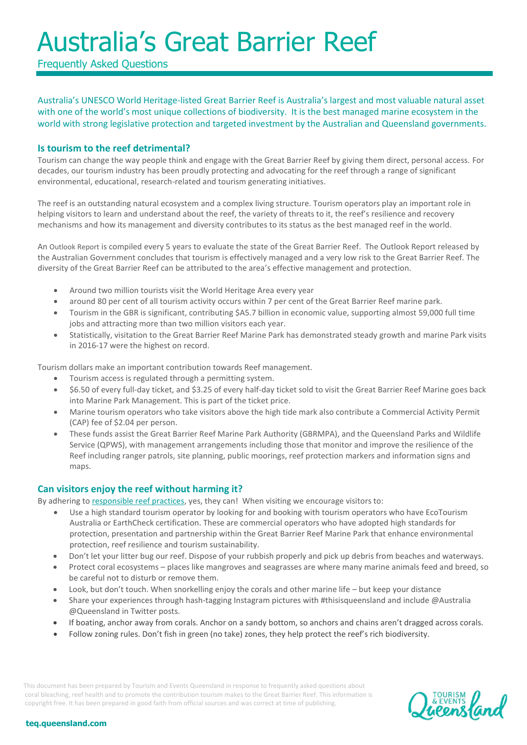Frequently Asked Questions

Australia's UNESCO World Heritage-listed Great Barrier Reef is Australia's largest and most valuable natural asset with one of the world's most unique collections of biodiversity. It is the best managed marine ecosystem in the world with strong legislative protection and targeted investment by the Australian and Queensland governments.

### **Is tourism to the reef detrimental?**

Tourism can change the way people think and engage with the Great Barrier Reef by giving them direct, personal access. For decades, our tourism industry has been proudly protecting and advocating for the reef through a range of significant environmental, educational, research-related and tourism generating initiatives.

The reef is an outstanding natural ecosystem and a complex living structure. Tourism operators play an important role in helping visitors to learn and understand about the reef, the variety of threats to it, the reef's resilience and recovery mechanisms and how its management and diversity contributes to its status as the best managed reef in the world.

An [Outlook Report](http://www.gbrmpa.gov.au/managing-the-reef/great-barrier-reef-outlook-report) is compiled every 5 years to evaluate the state of the Great Barrier Reef. The Outlook Report released by the Australian Government concludes that tourism is effectively managed and a very low risk to the Great Barrier Reef. The diversity of the Great Barrier Reef can be attributed to the area's effective management and protection.

- Around two million tourists visit the World Heritage Area every year
- around 80 per cent of all tourism activity occurs within 7 per cent of the Great Barrier Reef marine park.
- Tourism in the GBR is significant, contributing \$A5.7 billion in economic value, supporting almost 59,000 full time jobs and attracting more than two million visitors each year.
- Statistically, visitation to the Great Barrier Reef Marine Park has demonstrated steady growth and marine Park visits in 2016-17 were the highest on record.

Tourism dollars make an important contribution towards Reef management.

- Tourism access is regulated through a permitting system.
- \$6.50 of every full-day ticket, and \$3.25 of every half-day ticket sold to visit the Great Barrier Reef Marine goes back into Marine Park Management. This is part of the ticket price.
- Marine tourism operators who take visitors above the high tide mark also contribute a Commercial Activity Permit (CAP) fee of \$2.04 per person.
- These funds assist the Great Barrier Reef Marine Park Authority (GBRMPA), and the Queensland Parks and Wildlife Service (QPWS), with management arrangements including those that monitor and improve the resilience of the Reef including ranger patrols, site planning, public moorings, reef protection markers and information signs and maps.

### **Can visitors enjoy the reef without harming it?**

By adhering to [responsible reef practices,](http://www.gbrmpa.gov.au/visit-the-reef/responsible-reef-practices) yes, they can! When visiting we encourage visitors to:

- Use a high standard tourism operator by looking for and booking with tourism operators who have EcoTourism Australia or EarthCheck certification. These are commercial operators who have adopted high standards for protection, presentation and partnership within the Great Barrier Reef Marine Park that enhance environmental protection, reef resilience and tourism sustainability.
- Don't let your litter bug our reef. Dispose of your rubbish properly and pick up debris from beaches and waterways.
- Protect coral ecosystems places like mangroves and seagrasses are where many marine animals feed and breed, so be careful not to disturb or remove them.
- Look, but don't touch. When snorkelling enjoy the corals and other marine life but keep your distance
- Share your experiences through hash-tagging Instagram pictures with #thisisqueensland and include @Australia @Queensland in Twitter posts.
- If boating, anchor away from corals. Anchor on a sandy bottom, so anchors and chains aren't dragged across corals.
- Follow zoning rules. Don't fish in green (no take) zones, they help protect the reef's rich biodiversity.

This document has been prepared by Tourism and Events Queensland in response to frequently asked questions about coral bleaching, reef health and to promote the contribution tourism makes to the Great Barrier Reef. This information is copyright free. It has been prepared in good faith from official sources and was correct at time of publishing.

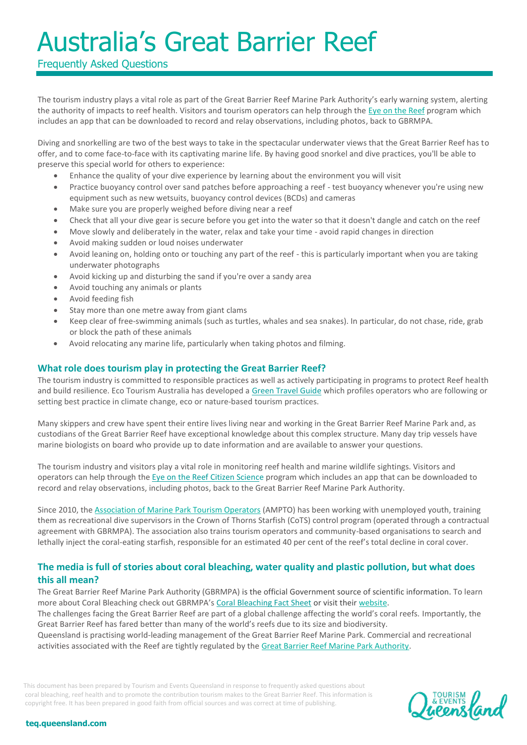## Frequently Asked Questions

The tourism industry plays a vital role as part of the Great Barrier Reef Marine Park Authority's early warning system, alerting the authority of impacts to reef health. Visitors and tourism operators can help through the [Eye on the Reef](http://www.gbrmpa.gov.au/managing-the-reef/how-the-reefs-managed/eye-on-the-reef/report-sightings) program which includes an app that can be downloaded to record and relay observations, including photos, back to GBRMPA.

Diving and snorkelling are two of the best ways to take in the spectacular underwater views that the Great Barrier Reef has to offer, and to come face-to-face with its captivating marine life. By having good snorkel and dive practices, you'll be able to preserve this special world for others to experience:

- Enhance the quality of your dive experience by learning about the environment you will visit
- Practice buoyancy control over sand patches before approaching a reef test buoyancy whenever you're using new equipment such as new wetsuits, buoyancy control devices (BCDs) and cameras
- Make sure you are properly weighed before diving near a reef
- Check that all your dive gear is secure before you get into the water so that it doesn't dangle and catch on the reef
- Move slowly and deliberately in the water, relax and take your time avoid rapid changes in direction
- Avoid making sudden or loud noises underwater
- Avoid leaning on, holding onto or touching any part of the reef this is particularly important when you are taking underwater photographs
- Avoid kicking up and disturbing the sand if you're over a sandy area
- Avoid touching any animals or plants
- Avoid feeding fish
- Stay more than one metre away from giant clams
- Keep clear of free-swimming animals (such as turtles, whales and sea snakes). In particular, do not chase, ride, grab or block the path of these animals
- Avoid relocating any marine life, particularly when taking photos and filming.

### **What role does tourism play in protecting the Great Barrier Reef?**

The tourism industry is committed to responsible practices as well as actively participating in programs to protect Reef health and build resilience. Eco Tourism Australia has developed [a Green Travel Guide](http://www.ecotourism.org.au/eco-experiences/green-travel-guide/) which profiles operators who are following or setting best practice in climate change, eco or nature-based tourism practices.

Many skippers and crew have spent their entire lives living near and working in the Great Barrier Reef Marine Park and, as custodians of the Great Barrier Reef have exceptional knowledge about this complex structure. Many day trip vessels have marine biologists on board who provide up to date information and are available to answer your questions.

The tourism industry and visitors play a vital role in monitoring reef health and marine wildlife sightings. Visitors and operators can help through the [Eye on the Reef Citizen Science](http://www.gbrmpa.gov.au/visit-the-reef/eye-on-the-reef/report-sightings) program which includes an app that can be downloaded to record and relay observations, including photos, back to the Great Barrier Reef Marine Park Authority.

Since 2010, the [Association of Marine Park Tourism Operators](http://www.ampto.org/) (AMPTO) has been working with unemployed youth, training them as recreational dive supervisors in the Crown of Thorns Starfish (CoTS) control program (operated through a contractual agreement with GBRMPA). The association also trains tourism operators and community-based organisations to search and lethally inject the coral-eating starfish, responsible for an estimated 40 per cent of the reef's total decline in coral cover.

### **The media is full of stories about coral bleaching, water quality and plastic pollution, but what does this all mean?**

The Great Barrier Reef Marine Park Authority (GBRMPA) is the official Government source of scientific information. To learn more about Coral Bleaching check out GBRMPA's [Coral Bleaching Fact Sheet](http://www.gbrmpa.gov.au/managing-the-reef/threats-to-the-reef/climate-change/what-does-this-mean-for-species/corals/what-is-coral-bleaching) or visit thei[r website.](http://www.gbrmpa.gov.au/about-the-reef/reef-health/frequently-asked-questions)

The challenges facing the Great Barrier Reef are part of a global challenge affecting the world's coral reefs. Importantly, the Great Barrier Reef has fared better than many of the world's reefs due to its size and biodiversity.

Queensland is practising world-leading management of the Great Barrier Reef Marine Park. Commercial and recreational activities associated with the Reef are tightly regulated by th[e Great Barrier Reef Marine Park Authority.](http://www.gbrmpa.gov.au/visit-the-reef/choose-a-high-standard-operator/high-standard-tourism-operation)

This document has been prepared by Tourism and Events Queensland in response to frequently asked questions about coral bleaching, reef health and to promote the contribution tourism makes to the Great Barrier Reef. This information is copyright free. It has been prepared in good faith from official sources and was correct at time of publishing.

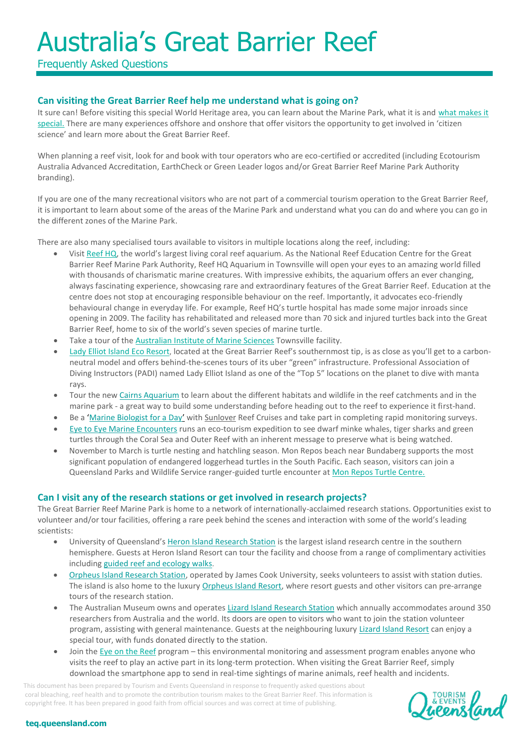Frequently Asked Questions

## **Can visiting the Great Barrier Reef help me understand what is going on?**

It sure can! Before visiting this special World Heritage area, you can learn about the Marine Park, what it is and [what makes it](http://www.gbrmpa.gov.au/about-the-reef/facts-about-the-great-barrier-reef)  [special.](http://www.gbrmpa.gov.au/about-the-reef/facts-about-the-great-barrier-reef) There are many experiences offshore and onshore that offer visitors the opportunity to get involved in 'citizen science' and learn more about the Great Barrier Reef.

When planning a reef visit, look for and book with tour operators who are eco-certified or accredited (including Ecotourism Australia Advanced Accreditation, EarthCheck or Green Leader logos and/or Great Barrier Reef Marine Park Authority branding).

If you are one of the many recreational visitors who are not part of a commercial tourism operation to the Great Barrier Reef, it is important to learn about some of the areas of the Marine Park and understand what you can do and where you can go in the differen[t zones](http://www.gbrmpa.gov.au/visit-the-reef/zoning) of the Marine Park.

There are also many specialised tours available to visitors in multiple locations along the reef, including:

- Visit [Reef HQ,](http://www.reefhq.com.au/) the world's largest living coral reef aquarium. As the National Reef Education Centre for the Great Barrier Reef Marine Park Authority, Reef HQ Aquarium in Townsville will open your eyes to an amazing world filled with thousands of charismatic marine creatures. With impressive exhibits, the aquarium offers an ever changing, always fascinating experience, showcasing rare and extraordinary features of the Great Barrier Reef. Education at the centre does not stop at encouraging responsible behaviour on the reef. Importantly, it advocates eco-friendly behavioural change in everyday life. For example, Reef HQ's turtle hospital has made some major inroads since opening in 2009. The facility has rehabilitated and released more than 70 sick and injured turtles back into the Great Barrier Reef, home to six of the world's seven species of marine turtle.
- Take a tour of the [Australian Institute of Marine Sciences](http://www.aims.gov.au/docs/about/visiting/townsville.html) Townsville facility.
- [Lady Elliot Island Eco Resort](http://www.ladyelliot.com.au/), located at the Great Barrier Reef's southernmost tip, is as close as you'll get to a carbonneutral model and offers behind-the-scenes tours of its uber "green" infrastructure. Professional Association of Diving Instructors (PADI) named Lady Elliot Island as one of the "Top 5" locations on the planet to dive with manta rays.
- Tour the new [Cairns Aquarium](http://www.cairnsaquarium.com.au/) to learn about the different habitats and wildlife in the reef catchments and in the marine park - a great way to build some understanding before heading out to the reef to experience it first-hand.
- Be a '[Marine Biologist for a Day](https://www.sunlover.com.au/corporate-and-education-packages/be-a-marine-biologist-for-the-day)' with [Sunlover](https://www.sunlover.com.au/corporate-and-education-packages/be-a-marine-biologist-for-the-day) Reef Cruises and take part in completing rapid monitoring surveys.
- [Eye to Eye Marine Encounters](http://www.marineencounters.com.au/) runs an eco-tourism expedition to see dwarf minke whales, tiger sharks and green turtles through the Coral Sea and Outer Reef with an inherent message to preserve what is being watched.
- November to March is turtle nesting and hatchling season. Mon Repos beach near Bundaberg supports the most significant population of endangered loggerhead turtles in the South Pacific. Each season, visitors can join a Queensland Parks and Wildlife Service ranger-guided turtle encounter a[t Mon Repos Turtle Centre.](http://www.npsr.qld.gov.au/parks/mon-repos/turtle-centre.html)

### **Can I visit any of the research stations or get involved in research projects?**

The Great Barrier Reef Marine Park is home to a network of internationally-acclaimed research stations. Opportunities exist to volunteer and/or tour facilities, offering a rare peek behind the scenes and interaction with some of the world's leading scientists:

- University of Queensland's [Heron Island Research Station](http://www.heronisland.com/Ecotourism-and-Research-Station.aspx) is the largest island research centre in the southern hemisphere. Guests at Heron Island Resort can tour the facility and choose from a range of complimentary activities includin[g guided reef and ecology walks](http://www.heronisland.com/Complimentary-Activities.aspx).
- [Orpheus Island Research Station,](https://www.jcu.edu.au/orpheus-island) operated by James Cook University, seeks volunteers to assist with station duties. The island is also home to the luxur[y Orpheus Island Resort,](http://www.orpheus.com.au/) where resort guests and other visitors can pre-arrange tours of the research station.
- The Australian Museum owns and operates [Lizard Island Research Station](https://australianmuseum.net.au/lizard-island-research-station) which annually accommodates around 350 researchers from Australia and the world. Its doors are open to visitors who want to join the station volunteer program, assisting with general maintenance. Guests at the neighbouring luxury [Lizard Island Resort](https://www.lizardisland.com.au/about/research-station) can enjoy a special tour, with funds donated directly to the station.
- Join the [Eye on the Reef](http://www.gbrmpa.gov.au/managing-the-reef/how-the-reefs-managed/eye-on-the-reef/report-sightings) program this environmental monitoring and assessment program enables anyone who visits the reef to play an active part in its long-term protection. When visiting the Great Barrier Reef, simply download the smartphone app to send in real-time sightings of marine animals, reef health and incidents.

This document has been prepared by Tourism and Events Queensland in response to frequently asked questions about coral bleaching, reef health and to promote the contribution tourism makes to the Great Barrier Reef. This information is copyright free. It has been prepared in good faith from official sources and was correct at time of publishing.

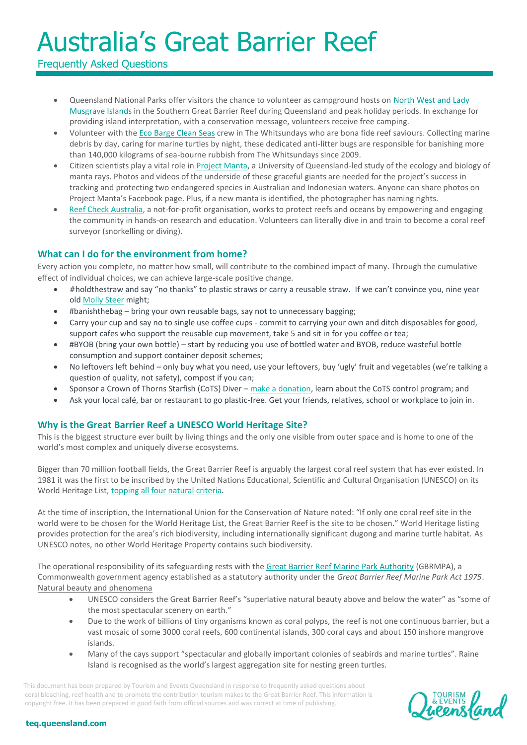Frequently Asked Questions

- Queensland National Parks offer visitors the chance to volunteer as campground hosts on North West and Lady [Musgrave Islands](http://environment.ehp.qld.gov.au/park-volunteers/?project=capricornia-cays-campground-host-north-west-and-lady-musgrave-islands) in the Southern Great Barrier Reef during Queensland and peak holiday periods. In exchange for providing island interpretation, with a conservation message, volunteers receive free camping.
- Volunteer with th[e Eco Barge Clean Seas](http://ecobargecleanseas.org.au/) crew in The Whitsundays who are bona fide reef saviours. Collecting marine debris by day, caring for marine turtles by night, these dedicated anti-litter bugs are responsible for banishing more than 140,000 kilograms of sea-bourne rubbish from The Whitsundays since 2009.
- Citizen scientists play a vital role in [Project Manta,](http://www.ladyelliot.com.au/content/project-manta) a University of Queensland-led study of the ecology and biology of manta rays. Photos and videos of the underside of these graceful giants are needed for the project's success in tracking and protecting two endangered species in Australian and Indonesian waters. Anyone can share photos on Project Manta's Facebook page. Plus, if a new manta is identified, the photographer has naming rights.
- [Reef Check Australia,](https://www.reefcheckaustralia.org/) a not-for-profit organisation, works to protect reefs and oceans by empowering and engaging the community in hands-on research and education. Volunteers can literally dive in and train to become a coral reef surveyor (snorkelling or diving).

### **What can I do for the environment from home?**

Every action you complete, no matter how small, will contribute to the combined impact of many. Through the cumulative effect of individual choices, we can achieve large-scale positive change.

- #holdthestraw and say "no thanks" to plastic straws or carry a reusable straw. If we can't convince you, nine year old [Molly Steer](https://www.youtube.com/watch?v=Rr5Py1r9xjw&feature=youtu.be) might;
- #banishthebag bring your own reusable bags, say not to unnecessary bagging;
- Carry your cup and say no to single use coffee cups commit to carrying your own and ditch disposables for good, support cafes who support the reusable cup movement, take 5 and sit in for you coffee or tea;
- #BYOB (bring your own bottle) start by reducing you use of bottled water and BYOB, reduce wasteful bottle consumption and support container deposit schemes;
- No leftovers left behind only buy what you need, use your leftovers, buy 'ugly' fruit and vegetables (we're talking a question of quality, not safety), compost if you can;
- Sponsor a Crown of Thorns Starfish (CoTS) Diver [make a donation,](https://teq.queensland.com/industry-resources/the-great-barrier-reef/%E2%80%A2#banishthebag%20%E2%80%93%20bring%20your%20own%20reusable%20bags,%20stay%20not%20to%20unnecessary%20bagging%20%20%E2%80%A2Carry%20your%20cup%20and%20say%20no%20to%20single%20use%20coffee%20cups%20-%20commit%20to%20carrying%20your%20own%20and%20ditch%20disp) learn about the CoTS control program; and
- Ask your local café, bar or restaurant to go plastic-free. Get your friends, relatives, school or workplace to join in.

### **Why is the Great Barrier Reef a UNESCO World Heritage Site?**

This is the biggest structure ever built by living things and the only one visible from outer space and is home to one of the world's most complex and uniquely diverse ecosystems.

Bigger than 70 million football fields, the Great Barrier Reef is arguably the largest coral reef system that has ever existed. In 1981 it was the first to be inscribed by the United Nations Educational, Scientific and Cultural Organisation (UNESCO) on its World Heritage List, [topping all four natural criteria.](http://whc.unesco.org/en/list/154)

At the time of inscription, the International Union for the Conservation of Nature noted: "If only one coral reef site in the world were to be chosen for the World Heritage List, the Great Barrier Reef is the site to be chosen." World Heritage listing provides protection for the area's rich biodiversity, including internationally significant dugong and marine turtle habitat. As UNESCO notes, no other World Heritage Property contains such biodiversity.

The operational responsibility of its safeguarding rests with the [Great Barrier Reef Marine Park Authority](http://www.gbrmpa.gov.au/) (GBRMPA), a Commonwealth government agency established as a statutory authority under the *Great Barrier Reef Marine Park Act 1975*. Natural beauty and phenomena

- UNESCO considers the Great Barrier Reef's "superlative natural beauty above and below the water" as "some of the most spectacular scenery on earth."
- Due to the work of billions of tiny organisms known as coral polyps, the reef is not one continuous barrier, but a vast mosaic of some 3000 coral reefs, 600 continental islands, 300 coral cays and about 150 inshore mangrove islands.
- Many of the cays support "spectacular and globally important colonies of seabirds and marine turtles". Raine Island is recognised as the world's largest aggregation site for nesting green turtles.

This document has been prepared by Tourism and Events Queensland in response to frequently asked questions about coral bleaching, reef health and to promote the contribution tourism makes to the Great Barrier Reef. This information is copyright free. It has been prepared in good faith from official sources and was correct at time of publishing.

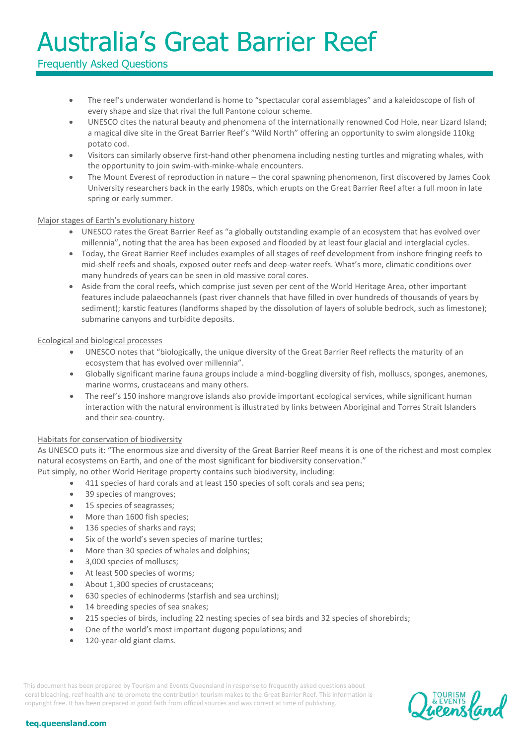## Frequently Asked Questions

- The reef's underwater wonderland is home to "spectacular coral assemblages" and a kaleidoscope of fish of every shape and size that rival the full Pantone colour scheme.
- UNESCO cites the natural beauty and phenomena of the internationally renowned Cod Hole, near Lizard Island; a magical dive site in the Great Barrier Reef's "Wild North" offering an opportunity to swim alongside 110kg potato cod.
- Visitors can similarly observe first-hand other phenomena including nesting turtles and migrating whales, with the opportunity to join swim-with-minke-whale encounters.
- The Mount Everest of reproduction in nature the coral spawning phenomenon, first discovered by James Cook University researchers back in the early 1980s, which erupts on the Great Barrier Reef after a full moon in late spring or early summer.

### Major stages of Earth's evolutionary history

- UNESCO rates the Great Barrier Reef as "a globally outstanding example of an ecosystem that has evolved over millennia", noting that the area has been exposed and flooded by at least four glacial and interglacial cycles.
- Today, the Great Barrier Reef includes examples of all stages of reef development from inshore fringing reefs to mid-shelf reefs and shoals, exposed outer reefs and deep-water reefs. What's more, climatic conditions over many hundreds of years can be seen in old massive coral cores.
- Aside from the coral reefs, which comprise just seven per cent of the World Heritage Area, other important features include palaeochannels (past river channels that have filled in over hundreds of thousands of years by sediment); karstic features (landforms shaped by the dissolution of layers of soluble bedrock, such as limestone); submarine canyons and turbidite deposits.

### Ecological and biological processes

- UNESCO notes that "biologically, the unique diversity of the Great Barrier Reef reflects the maturity of an ecosystem that has evolved over millennia".
- Globally significant marine fauna groups include a mind-boggling diversity of fish, molluscs, sponges, anemones, marine worms, crustaceans and many others.
- The reef's 150 inshore mangrove islands also provide important ecological services, while significant human interaction with the natural environment is illustrated by links between Aboriginal and Torres Strait Islanders and their sea-country.

### Habitats for conservation of biodiversity

As UNESCO puts it: "The enormous size and diversity of the Great Barrier Reef means it is one of the richest and most complex natural ecosystems on Earth, and one of the most significant for biodiversity conservation."

Put simply, no other World Heritage property contains such biodiversity, including:

- 411 species of hard corals and at least 150 species of soft corals and sea pens;
- 39 species of mangroves;
- 15 species of seagrasses;
- More than 1600 fish species;
- 136 species of sharks and rays;
- Six of the world's seven species of marine turtles;
- More than 30 species of whales and dolphins;
- 3,000 species of molluscs;
- At least 500 species of worms;
- About 1,300 species of crustaceans;
- 630 species of echinoderms (starfish and sea urchins);
- 14 breeding species of sea snakes;
- 215 species of birds, including 22 nesting species of sea birds and 32 species of shorebirds;
- One of the world's most important dugong populations; and
- 120-year-old giant clams.

This document has been prepared by Tourism and Events Queensland in response to frequently asked questions about coral bleaching, reef health and to promote the contribution tourism makes to the Great Barrier Reef. This information is copyright free. It has been prepared in good faith from official sources and was correct at time of publishing.

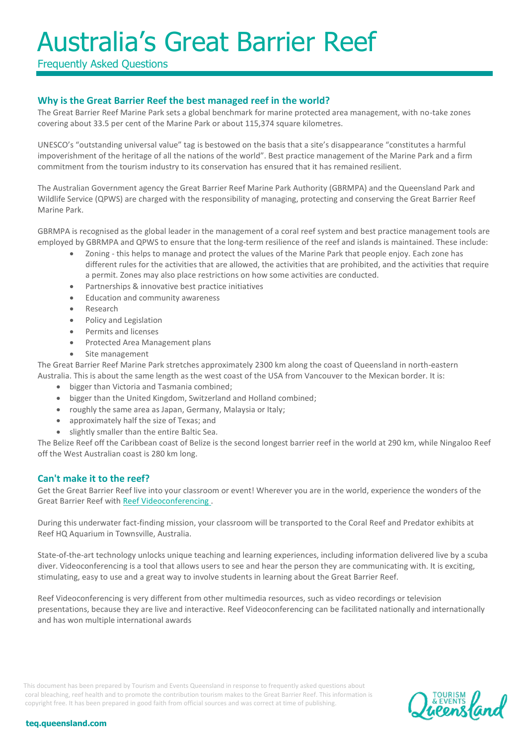Frequently Asked Questions

## **Why is the Great Barrier Reef the best managed reef in the world?**

The Great Barrier Reef Marine Park sets a global benchmark for marine protected area management, with no-take zones covering about 33.5 per cent of the Marine Park or about 115,374 square kilometres.

UNESCO's "outstanding universal value" tag is bestowed on the basis that a site's disappearance "constitutes a harmful impoverishment of the heritage of all the nations of the world". Best practice management of the Marine Park and a firm commitment from the tourism industry to its conservation has ensured that it has remained resilient.

The Australian Government agency the Great Barrier Reef Marine Park Authority (GBRMPA) and the Queensland Park and Wildlife Service (QPWS) are charged with the responsibility of managing, protecting and conserving the Great Barrier Reef Marine Park.

GBRMPA is recognised as the global leader in the management of a coral reef system and best practice management tools are employed by GBRMPA and QPWS to ensure that the long-term resilience of the reef and islands is maintained. These include:

- Zoning this helps to manage and protect the values of the Marine Park that people enjoy. Each zone has different rules for the activities that are allowed, the activities that are prohibited, and the activities that require a permit. Zones may also place restrictions on how some activities are conducted.
- Partnerships & innovative best practice initiatives
- Education and community awareness
- Research
- Policy and Legislation
- Permits and licenses
- Protected Area Management plans
- Site management

The Great Barrier Reef Marine Park stretches approximately 2300 km along the coast of Queensland in north-eastern Australia. This is about the same length as the west coast of the USA from Vancouver to the Mexican border. It is:

- bigger than Victoria and Tasmania combined;
- bigger than the United Kingdom, Switzerland and Holland combined;
- roughly the same area as Japan, Germany, Malaysia or Italy;
- approximately half the size of Texas; and
- slightly smaller than the entire Baltic Sea.

The Belize Reef off the Caribbean coast of Belize is the second longest barrier reef in the world at 290 km, while Ningaloo Reef off the West Australian coast is 280 km long.

### **Can't make it to the reef?**

Get the Great Barrier Reef live into your classroom or event! Wherever you are in the world, experience the wonders of the Great Barrier Reef with [Reef Videoconferencing .](http://www.reefhq.com.au/__data/assets/pdf_file/0005/226049/32484-ReefED-Reef-Video-Conference-no-bleed.pdf) 

During this underwater fact-finding mission, your classroom will be transported to the Coral Reef and Predator exhibits at Reef HQ Aquarium in Townsville, Australia.

State-of-the-art technology unlocks unique teaching and learning experiences, including information delivered live by a scuba diver. Videoconferencing is a tool that allows users to see and hear the person they are communicating with. It is exciting, stimulating, easy to use and a great way to involve students in learning about the Great Barrier Reef.

Reef Videoconferencing is very different from other multimedia resources, such as video recordings or television presentations, because they are live and interactive. Reef Videoconferencing can be facilitated nationally and internationally and has won multiple international awards

This document has been prepared by Tourism and Events Queensland in response to frequently asked questions about coral bleaching, reef health and to promote the contribution tourism makes to the Great Barrier Reef. This information is copyright free. It has been prepared in good faith from official sources and was correct at time of publishing.